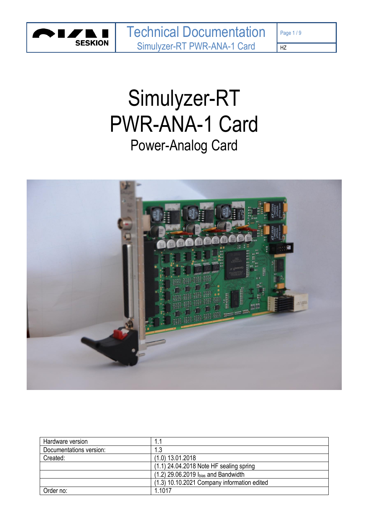

# Simulyzer-RT PWR-ANA-1 Card Power-Analog Card



| Hardware version        |                                             |
|-------------------------|---------------------------------------------|
| Documentations version: |                                             |
| Created:                | $(1.0)$ 13.01.2018                          |
|                         | $(1.1)$ 24.04.2018 Note HF sealing spring   |
|                         | $(1.2)$ 29.06.2019 $I_{bias}$ and Bandwidth |
|                         | (1.3) 10.10.2021 Company information edited |
| Order no:               | 1.1017                                      |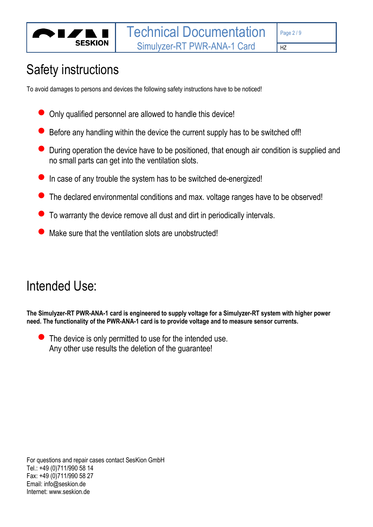

# Safety instructions

To avoid damages to persons and devices the following safety instructions have to be noticed!

- Only qualified personnel are allowed to handle this device!
- Before any handling within the device the current supply has to be switched off!
- During operation the device have to be positioned, that enough air condition is supplied and no small parts can get into the ventilation slots.
- In case of any trouble the system has to be switched de-energized!
- The declared environmental conditions and max. voltage ranges have to be observed!
- To warranty the device remove all dust and dirt in periodically intervals.
- Make sure that the ventilation slots are unobstructed!

# Intended Use:

**The Simulyzer-RT PWR-ANA-1 card is engineered to supply voltage for a Simulyzer-RT system with higher power need. The functionality of the PWR-ANA-1 card is to provide voltage and to measure sensor currents.** 

The device is only permitted to use for the intended use. Any other use results the deletion of the guarantee!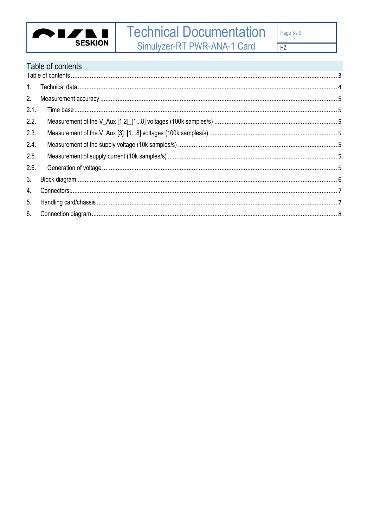

# <span id="page-2-0"></span>Table of contents

| 1 <sup>1</sup> |  |
|----------------|--|
| 2.             |  |
| 2.1.           |  |
| 2.2.           |  |
| 2.3.           |  |
| 2.4.           |  |
| 2.5.           |  |
| 2.6.           |  |
| 3 <sub>1</sub> |  |
| 4.             |  |
| 5.             |  |
| 6.             |  |
|                |  |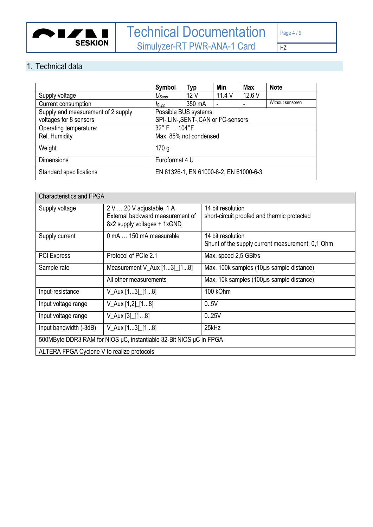

### <span id="page-3-0"></span>1. Technical data

|                                    | Symbol                                 | <b>Typ</b>                                         | Min                      | <b>Max</b> | <b>Note</b>      |
|------------------------------------|----------------------------------------|----------------------------------------------------|--------------------------|------------|------------------|
| Supply voltage                     | $U_{\text{Supp}}$                      | 12V                                                | 11.4V                    | 12.6 V     |                  |
| Current consumption                | <i>I</i> Supp                          | 350 mA                                             | $\overline{\phantom{0}}$ |            | Without sensoren |
| Supply and measurement of 2 supply |                                        | Possible BUS systems:                              |                          |            |                  |
| voltages for 8 sensors             |                                        | SPI-, LIN-, SENT-, CAN or I <sup>2</sup> C-sensors |                          |            |                  |
| Operating temperature:             | 32° F  104°F                           |                                                    |                          |            |                  |
| Rel. Humidity                      |                                        | Max. 85% not condensed                             |                          |            |                  |
| Weight                             | 170 <sub>q</sub>                       |                                                    |                          |            |                  |
| <b>Dimensions</b>                  | Euroformat 4 U                         |                                                    |                          |            |                  |
| Standard specifications            | EN 61326-1, EN 61000-6-2, EN 61000-6-3 |                                                    |                          |            |                  |

| <b>Characteristics and FPGA</b>                                    |                                                                                              |                                                                       |  |  |  |  |  |  |
|--------------------------------------------------------------------|----------------------------------------------------------------------------------------------|-----------------------------------------------------------------------|--|--|--|--|--|--|
| Supply voltage                                                     | 2 V  20 V adjustable, 1 A<br>External backward measurement of<br>8x2 supply voltages + 1xGND | 14 bit resolution<br>short-circuit proofed and thermic protected      |  |  |  |  |  |  |
| Supply current                                                     | 0 mA  150 mA measurable                                                                      | 14 bit resolution<br>Shunt of the supply current measurement: 0,1 Ohm |  |  |  |  |  |  |
| <b>PCI Express</b>                                                 | Protocol of PCIe 2.1                                                                         | Max. speed 2,5 GBit/s                                                 |  |  |  |  |  |  |
| Sample rate                                                        | Measurement V_Aux [13] [18]                                                                  | Max. 100k samples (10µs sample distance)                              |  |  |  |  |  |  |
|                                                                    | All other measurements                                                                       | Max. 10k samples (100µs sample distance)                              |  |  |  |  |  |  |
| Input-resistance                                                   | V_Aux [13]_[18]                                                                              | 100 kOhm                                                              |  |  |  |  |  |  |
| Input voltage range                                                | V_Aux [1,2]_[18]                                                                             | 0.5V                                                                  |  |  |  |  |  |  |
| Input voltage range                                                | $V_Aux [3] [18]$                                                                             | 0.25V                                                                 |  |  |  |  |  |  |
| $V_Aux [13] [18]$<br>Input bandwidth (-3dB)                        |                                                                                              | 25kHz                                                                 |  |  |  |  |  |  |
| 500MByte DDR3 RAM for NIOS µC, instantiable 32-Bit NIOS µC in FPGA |                                                                                              |                                                                       |  |  |  |  |  |  |
| ALTERA FPGA Cyclone V to realize protocols                         |                                                                                              |                                                                       |  |  |  |  |  |  |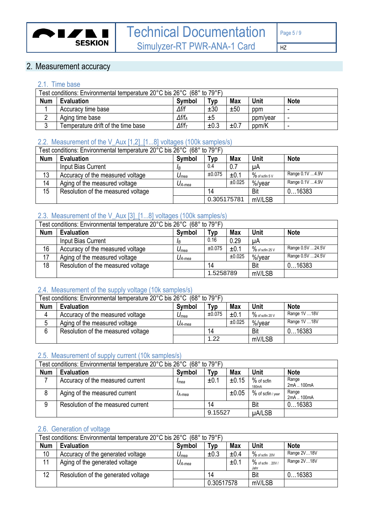

## <span id="page-4-0"></span>2. Measurement accuracy

#### <span id="page-4-1"></span>2.1. Time base

| Test conditions: Environmental temperature 20°C bis 26°C (68° to 79°F) |                                                                                |                   |      |      |          |   |  |  |
|------------------------------------------------------------------------|--------------------------------------------------------------------------------|-------------------|------|------|----------|---|--|--|
| <b>Num</b>                                                             | <b>Max</b><br>Unit<br><b>Note</b><br>Typ<br><b>Symbol</b><br><b>Evaluation</b> |                   |      |      |          |   |  |  |
|                                                                        | Accuracy time base                                                             | $\Delta f/f$      | ±30  | ±50  | ppm      | - |  |  |
| ◠                                                                      | Aging time base                                                                | $\Delta f/f_A$    | ±5   |      | ppm/year | - |  |  |
| ◠<br>J                                                                 | Temperature drift of the time base                                             | $\Delta f/f_\tau$ | ±0.3 | ±0.7 | ppm/K    | - |  |  |

### <span id="page-4-2"></span>2.2. Measurement of the V\_Aux [1,2]\_[1...8] voltages (100k samples/s)

| Test conditions: Environmental temperature 20°C bis 26°C (68° to 79°F) |                                    |               |             |            |                  |                  |  |
|------------------------------------------------------------------------|------------------------------------|---------------|-------------|------------|------------------|------------------|--|
| <b>Num</b>                                                             | <b>Evaluation</b>                  | <b>Symbol</b> | Typ         | <b>Max</b> | <b>Unit</b>      | <b>Note</b>      |  |
|                                                                        | Input Bias Current                 | ΙR            | 0.4<br>0.7  |            | uA               |                  |  |
| 13                                                                     | Accuracy of the measured voltage   | $U_{mea}$     | ±0.075      | ±0.1       | $%$ of scfin 5 V | Range 0.1V 4.9V  |  |
| 14                                                                     | Aging of the measured voltage      | $U_{A-mea}$   | ±0.025      |            | %/vear           | Range 0.1V  4.9V |  |
| 15                                                                     | Resolution of the measured voltage |               | 14          |            | Bit              | 016383           |  |
|                                                                        |                                    |               | 0.305175781 |            | mV/LSB           |                  |  |

#### <span id="page-4-3"></span>2.3. Measurement of the V\_Aux [3]\_[1...8] voltages (100k samples/s)

| Test conditions: Environmental temperature 20°C bis 26°C (68° to 79°F) |                                    |               |                 |            |                    |                  |  |
|------------------------------------------------------------------------|------------------------------------|---------------|-----------------|------------|--------------------|------------------|--|
| <b>Num</b>                                                             | <b>Evaluation</b>                  | <b>Symbol</b> | T <sub>VP</sub> | <b>Max</b> | Unit               | <b>Note</b>      |  |
|                                                                        | Input Bias Current                 | <b>I</b> B    | 0.16<br>0.29    |            | μA                 |                  |  |
| 16                                                                     | Accuracy of the measured voltage   | $U_{mea}$     | ±0.075          | ±0.1       | $\%$ of scfin 25 V | Range 0.5V 24.5V |  |
| 17                                                                     | Aging of the measured voltage      | $U_{A-mea}$   | ±0.025          |            | %/vear             | Range 0.5V 24.5V |  |
| 18                                                                     | Resolution of the measured voltage |               | 14              |            | Bit                | 016383           |  |
|                                                                        |                                    |               | 1.5258789       |            | mV/LSB             |                  |  |

#### <span id="page-4-4"></span>2.4. Measurement of the supply voltage (10k samples/s)

| Test conditions: Environmental temperature 20°C bis 26°C (68° to 79°F) |                                                                         |             |        |        |                    |               |  |  |
|------------------------------------------------------------------------|-------------------------------------------------------------------------|-------------|--------|--------|--------------------|---------------|--|--|
| <b>Num</b>                                                             | Unit<br><b>Note</b><br>Symbol<br><b>Max</b><br><b>Evaluation</b><br>⊤ур |             |        |        |                    |               |  |  |
|                                                                        | Accuracy of the measured voltage                                        | $U_{mea}$   | ±0.075 | ±0.1   | $\%$ of scfin 20 V | Range 1V  18V |  |  |
|                                                                        | Aging of the measured voltage                                           | $U_{A-mea}$ |        | ±0.025 | %/vear             | Range 1V  18V |  |  |
|                                                                        | Resolution of the measured voltage                                      |             | 14     |        | Bit                | 016383        |  |  |
|                                                                        |                                                                         |             | 1.22   |        | mV/LSB             |               |  |  |

#### <span id="page-4-5"></span>2.5. Measurement of supply current (10k samples/s)

|            | Test conditions: Environmental temperature 20°C bis 26°C (68° to 79°F) |        |         |            |                                    |                     |  |  |
|------------|------------------------------------------------------------------------|--------|---------|------------|------------------------------------|---------------------|--|--|
| <b>Num</b> | <b>Evaluation</b>                                                      | Symbol | Typ     | <b>Max</b> | Unit                               | <b>Note</b>         |  |  |
|            | Accuracy of the measured current                                       | Imea   | ±0.1    | ±0.15      | $%$ of scfin<br>180 <sub>m</sub> A | Range<br>2mA  100mA |  |  |
|            | Aging of the measured current                                          | IA-mea |         | ±0.05      | % of scfin / year                  | Range<br>2mA  100mA |  |  |
| 9          | Resolution of the measured current                                     |        | 14      |            | Bit                                | 016383              |  |  |
|            |                                                                        |        | 9.15527 |            | µA/LSB                             |                     |  |  |

#### <span id="page-4-6"></span>2.6. Generation of voltage

| Test conditions: Environmental temperature 20°C bis 26°C (68° to 79°F) |                                                  |             |             |             |                               |             |  |
|------------------------------------------------------------------------|--------------------------------------------------|-------------|-------------|-------------|-------------------------------|-------------|--|
| <b>Num</b>                                                             | <b>Evaluation</b><br>Symbol<br>Typ<br><b>Max</b> |             | <b>Unit</b> | <b>Note</b> |                               |             |  |
| 10                                                                     | Accuracy of the generated voltage                | $U_{mea}$   | ±0.3        | ±0.4        | $\%$ of scfin 20V             | Range 2V18V |  |
| 11                                                                     | Aging of the generated voltage                   | $U_{A-mea}$ |             | ±0.1        | $\%$ of scfin . 20V /<br>Jahr | Range 2V18V |  |
| 12                                                                     | Resolution of the generated voltage              |             | 14          |             | Bit                           | 016383      |  |
|                                                                        |                                                  |             | 0.30517578  |             | mV/LSB                        |             |  |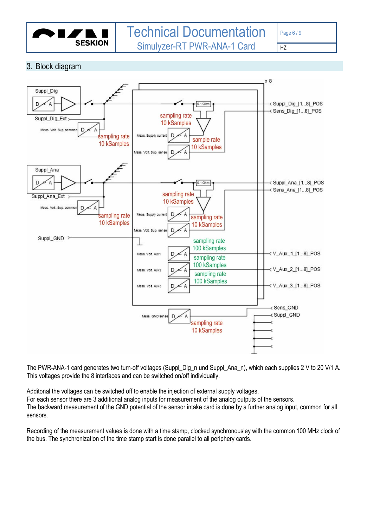

#### <span id="page-5-0"></span>3. Block diagram



The PWR-ANA-1 card generates two turn-off voltages (Suppl\_Dig\_n und Suppl\_Ana\_n), which each supplies 2 V to 20 V/1 A. This voltages provide the 8 interfaces and can be switched on/off individually.

Additonal the voltages can be switched off to enable the injection of external supply voltages. For each sensor there are 3 additional analog inputs for measurement of the analog outputs of the sensors. The backward measurement of the GND potential of the sensor intake card is done by a further analog input, common for all sensors.

Recording of the measurement values is done with a time stamp, clocked synchronousley with the common 100 MHz clock of the bus. The synchronization of the time stamp start is done parallel to all periphery cards.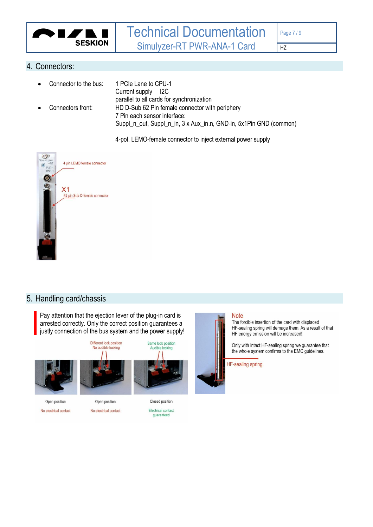

#### <span id="page-6-0"></span>4. Connectors:

| $\bullet$ | Connector to the bus: | 1 PCIe Lane to CPU-1<br>Current supply 12C                         |
|-----------|-----------------------|--------------------------------------------------------------------|
|           |                       | parallel to all cards for synchronization                          |
| $\bullet$ | Connectors front:     | HD D-Sub 62 Pin female connector with periphery                    |
|           |                       | 7 Pin each sensor interface:                                       |
|           |                       | Suppl_n_out, Suppl_n_in, 3 x Aux_in.n, GND-in, 5x1Pin GND (common) |

4-pol. LEMO-female connector to inject external power supply



#### <span id="page-6-1"></span>5. Handling card/chassis

Pay attention that the ejection lever of the plug-in card is arrested correctly. Only the correct position guarantees a justly connection of the bus system and the power supply!



No electrical contact

No electrical contact

Electrical contact quaranteed



The forcible insertion of the card with displaced HF-sealing spring will demage them. As a result of that HF energy emission will be increased!

Only with intact HF-sealing spring we guarantee that the whole system confirms to the EMC guidelines.

**HF-sealing spring**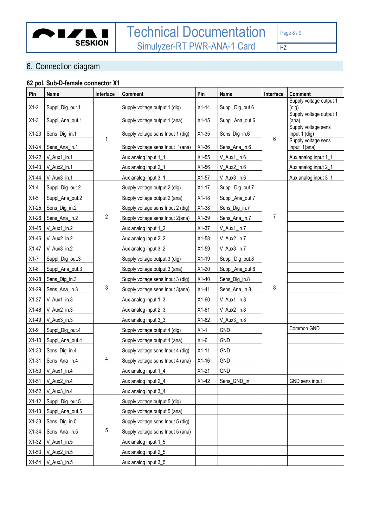

<span id="page-7-0"></span>6. Connection diagram

# **62 pol. Sub-D-female connector X1**

| Pin     | <b>Name</b>     | Interface      | <b>Comment</b>                    | Pin     | <b>Name</b>     | Interface      | Comment                              |
|---------|-----------------|----------------|-----------------------------------|---------|-----------------|----------------|--------------------------------------|
| $X1-2$  | Suppl_Dig_out.1 |                | Supply voltage output 1 (dig)     | $X1-14$ | Suppl_Dig_out.6 |                | Supply voltage output 1<br>(diq)     |
| $X1-3$  | Suppl_Ana_out.1 |                | Supply voltage output 1 (ana)     | $X1-15$ | Suppl_Ana_out.6 |                | Supply voltage output 1<br>(ana)     |
|         |                 |                |                                   |         |                 |                | Supply voltage sens                  |
| $X1-23$ | Sens_Dig_in.1   | 1              | Supply voltage sens Input 1 (dig) | $X1-35$ | Sens_Dig_in.6   | 6              | Input 1 (dig)<br>Supply voltage sens |
| $X1-24$ | Sens_Ana_in.1   |                | Supply voltage sens Input 1(ana)  | $X1-36$ | Sens_Ana_in.6   |                | Input 1(ana)                         |
| $X1-22$ | V_Aux1_in.1     |                | Aux analog input 1_1              | $X1-55$ | V_Aux1_in.6     |                | Aux analog input 1_1                 |
| $X1-43$ | V_Aux2_in.1     |                | Aux analog input 2_1              | X1-56   | V_Aux2_in.6     |                | Aux analog input 2_1                 |
| $X1-44$ | V_Aux3_in.1     |                | Aux analog input 3_1              | $X1-57$ | V_Aux3_in.6     |                | Aux analog input 3_1                 |
| $X1-4$  | Suppl_Dig_out.2 |                | Supply voltage output 2 (dig)     | $X1-17$ | Suppl_Dig_out.7 |                |                                      |
| $X1-5$  | Suppl_Ana_out.2 |                | Supply voltage output 2 (ana)     | $X1-18$ | Suppl_Ana_out.7 |                |                                      |
| $X1-25$ | Sens_Dig_in.2   |                | Supply voltage sens Input 2 (dig) | $X1-38$ | Sens_Dig_in.7   |                |                                      |
| $X1-26$ | Sens_Ana_in.2   | $\overline{2}$ | Supply voltage sens Input 2(ana)  | $X1-39$ | Sens_Ana_in.7   | $\overline{7}$ |                                      |
| $X1-45$ | V_Aux1_in.2     |                | Aux analog input 1_2              | $X1-37$ | V_Aux1_in.7     |                |                                      |
| $X1-46$ | V_Aux2_in.2     |                | Aux analog input 2_2              | $X1-58$ | V_Aux2_in.7     |                |                                      |
| $X1-47$ | V_Aux3_in.2     |                | Aux analog input 3_2              | X1-59   | V_Aux3_in.7     |                |                                      |
| $X1-7$  | Suppl_Dig_out.3 |                | Supply voltage output 3 (dig)     | $X1-19$ | Suppl_Dig_out.8 |                |                                      |
| $X1-8$  | Suppl_Ana_out.3 |                | Supply voltage output 3 (ana)     | $X1-20$ | Suppl_Ana_out.8 |                |                                      |
| $X1-28$ | Sens_Dig_in.3   |                | Supply voltage sens Input 3 (dig) | $X1-40$ | Sens_Dig_in.8   |                |                                      |
| $X1-29$ | Sens_Ana_in.3   | $\mathfrak{Z}$ | Supply voltage sens Input 3(ana)  | $X1-41$ | Sens_Ana_in.8   | 8              |                                      |
| $X1-27$ | V_Aux1_in.3     |                | Aux analog input 1_3              | X1-60   | V_Aux1_in.8     |                |                                      |
| $X1-48$ | V_Aux2_in.3     |                | Aux analog input 2_3              | $X1-61$ | V_Aux2_in.8     |                |                                      |
| X1-49   | V_Aux3_in.3     |                | Aux analog input 3_3              | X1-62   | V_Aux3_in.8     |                |                                      |
| $X1-9$  | Suppl_Dig_out.4 |                | Supply voltage output 4 (dig)     | $X1-1$  | <b>GND</b>      |                | Common GND                           |
| $X1-10$ | Suppl_Ana_out.4 |                | Supply voltage output 4 (ana)     | $X1-6$  | <b>GND</b>      |                |                                      |
| $X1-30$ | Sens_Dig_in.4   |                | Supply voltage sens Input 4 (dig) | $X1-11$ | <b>GND</b>      |                |                                      |
| $X1-31$ | Sens_Ana_in.4   | 4              | Supply voltage sens Input 4 (ana) | $X1-16$ | <b>GND</b>      |                |                                      |
| X1-50   | V_Aux1_in.4     |                | Aux analog input 1_4              | $X1-21$ | <b>GND</b>      |                |                                      |
| $X1-51$ | V_Aux2_in.4     |                | Aux analog input 2_4              | $X1-42$ | Sens_GND_in     |                | GND sens input                       |
| X1-52   | V_Aux3_in.4     |                | Aux analog input 3_4              |         |                 |                |                                      |
| $X1-12$ | Suppl_Dig_out.5 |                | Supply voltage output 5 (dig)     |         |                 |                |                                      |
| $X1-13$ | Suppl_Ana_out.5 |                | Supply voltage output 5 (ana)     |         |                 |                |                                      |
| $X1-33$ | Sens_Dig_in.5   |                | Supply voltage sens Input 5 (dig) |         |                 |                |                                      |
| $X1-34$ | Sens_Ana_in.5   | 5              | Supply voltage sens Input 5 (ana) |         |                 |                |                                      |
| $X1-32$ | V_Aux1_in.5     |                | Aux analog input 1_5              |         |                 |                |                                      |
| $X1-53$ | V_Aux2_in.5     |                | Aux analog input 2_5              |         |                 |                |                                      |
| $X1-54$ | V_Aux3_in.5     |                | Aux analog input 3_5              |         |                 |                |                                      |